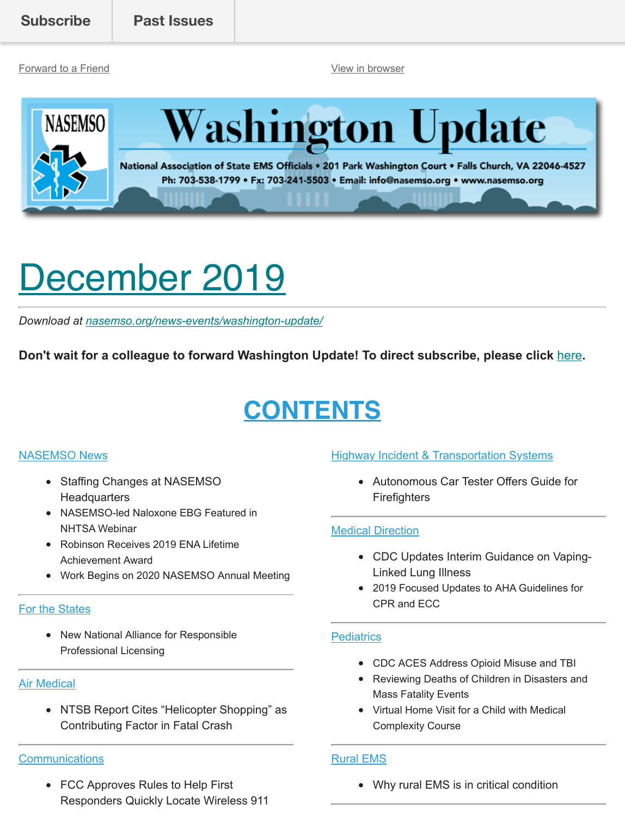[Forward to a Friend](http://us13.forward-to-friend.com/forward?u=bdaf9a0cf267d423437d7b149&id=03119953a6&e=%5BUNIQID%5D) [View in browser](https://mailchi.mp/6443892a6299/washington-update-december-2019?e=%5BUNIQID%5D)





National Association of State EMS Officials . 201 Park Washington Court . Falls Church, VA 22046-4527 Ph: 703-538-1799 • Fx: 703-241-5503 • Email: info@nasemso.org • www.nasemso.org

# <span id="page-0-0"></span>December 2019

*Download at [nasemso.org/news-events/washington-update/](https://nasemso.org/news-events/washington-update/)*

**Don't wait for a colleague to forward Washington Update! To direct subscribe, please click** [here](http://eepurl.com/cb1_dP)**.**

# **CONTENTS**

#### [NASEMSO News](#page-1-0)

- Staffing Changes at NASEMSO **Headquarters**
- NASEMSO-led Naloxone EBG Featured in NHTSA Webinar
- Robinson Receives 2019 ENA Lifetime Achievement Award
- Work Begins on 2020 NASEMSO Annual Meeting

#### [For the States](#page-2-0)

• New National Alliance for Responsible Professional Licensing

#### [Air Medical](#page-3-0)

• NTSB Report Cites "Helicopter Shopping" as Contributing Factor in Fatal Crash

#### **[Communications](#page-3-1)**

FCC Approves Rules to Help First Responders Quickly Locate Wireless 911

#### **[Highway Incident & Transportation Systems](#page-6-0)**

Autonomous Car Tester Offers Guide for **Firefighters** 

#### [Medical Direction](#page-6-1)

- CDC Updates Interim Guidance on Vaping-Linked Lung Illness
- 2019 Focused Updates to AHA Guidelines for CPR and ECC

#### **[Pediatrics](#page-7-0)**

- CDC ACES Address Opioid Misuse and TBI
- Reviewing Deaths of Children in Disasters and Mass Fatality Events
- Virtual Home Visit for a Child with Medical Complexity Course

#### [Rural EMS](#page-8-0)

Why rural EMS is in critical condition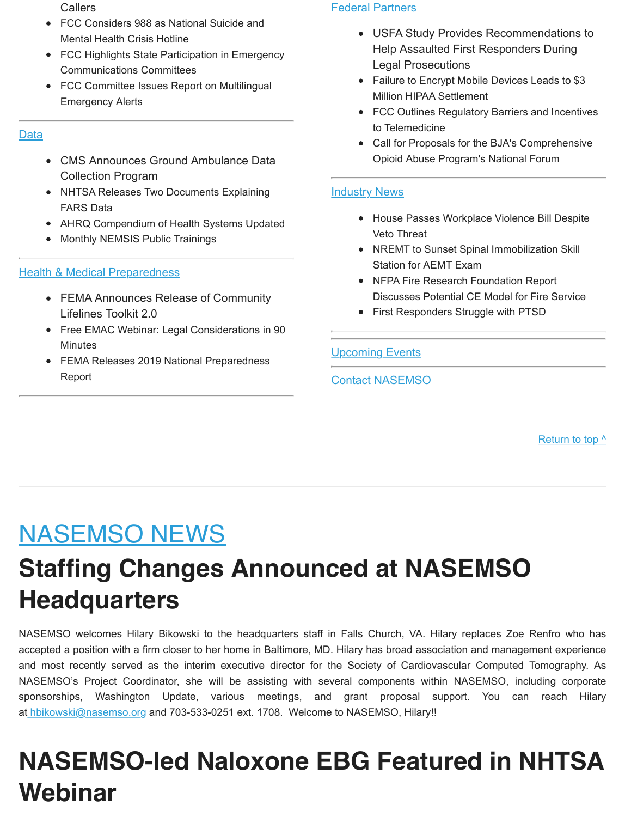Callers

- FCC Considers 988 as National Suicide and Mental Health Crisis Hotline
- FCC Highlights State Participation in Emergency Communications Committees
- FCC Committee Issues Report on Multilingual Emergency Alerts

#### [Data](#page-4-0)

- CMS Announces Ground Ambulance Data Collection Program
- NHTSA Releases Two Documents Explaining FARS Data
- AHRQ Compendium of Health Systems Updated
- Monthly NEMSIS Public Trainings

#### **[Health & Medical Preparedness](#page-5-0)**

- FEMA Announces Release of Community Lifelines Toolkit 2.0
- Free EMAC Webinar: Legal Considerations in 90 **Minutes**
- FEMA Releases 2019 National Preparedness Report

#### [Federal Partners](#page-8-1)

- USFA Study Provides Recommendations to Help Assaulted First Responders During Legal Prosecutions
- Failure to Encrypt Mobile Devices Leads to \$3 Million HIPAA Settlement
- FCC Outlines Regulatory Barriers and Incentives to Telemedicine
- Call for Proposals for the BJA's Comprehensive Opioid Abuse Program's National Forum

#### [Industry News](#page-10-0)

- House Passes Workplace Violence Bill Despite Veto Threat
- NREMT to Sunset Spinal Immobilization Skill Station for AEMT Exam
- NFPA Fire Research Foundation Report Discusses Potential CE Model for Fire Service
- First Responders Struggle with PTSD

#### **[Upcoming Events](#page-11-0)**

#### [Contact NASEMSO](#page-14-0)

[Return to top ^](#page-0-0)

#### <span id="page-1-0"></span>NASEMSO NEWS

#### **Staffing Changes Announced at NASEMSO Headquarters**

NASEMSO welcomes Hilary Bikowski to the headquarters staff in Falls Church, VA. Hilary replaces Zoe Renfro who has accepted a position with a firm closer to her home in Baltimore, MD. Hilary has broad association and management experience and most recently served as the interim executive director for the Society of Cardiovascular Computed Tomography. As NASEMSO's Project Coordinator, she will be assisting with several components within NASEMSO, including corporate s[ponsorships, Washington](mailto:hbikowski@nasemso.org) Update, various meetings, and grant proposal support. You can reach Hilary at hbikowski@nasemso.org and 703-533-0251 ext. 1708. Welcome to NASEMSO, Hilary!!

#### **NASEMSO-led Naloxone EBG Featured in NHTSA Webinar**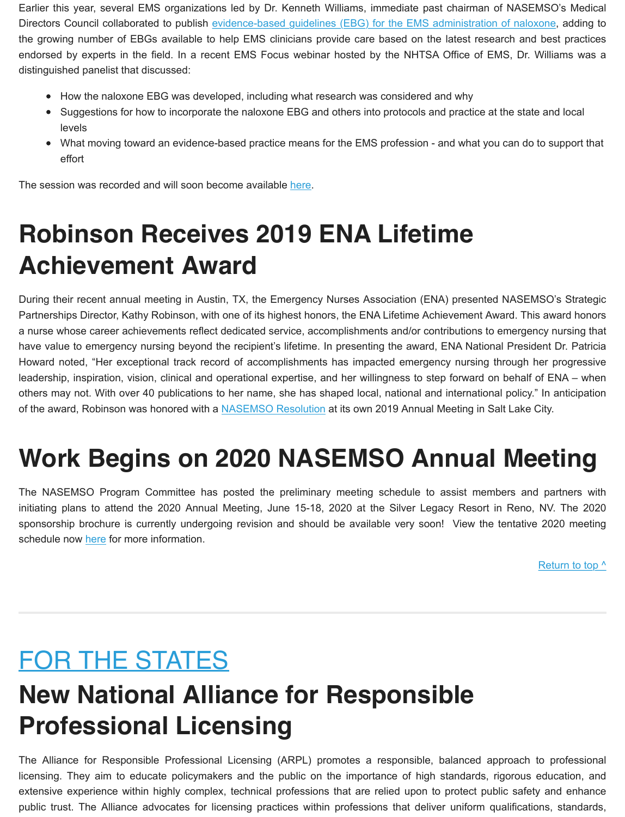Earlier this year, several EMS organizati[ons led by Dr. Kenneth Williams, immediate past chairman of NASEMSO](https://www.tandfonline.com/doi/full/10.1080/10903127.2019.1597955)'s Medical Directors Council collaborated to publish evidence-based guidelines (EBG) for the EMS administration of naloxone, adding to the growing number of EBGs available to help EMS clinicians provide care based on the latest research and best practices endorsed by experts in the field. In a recent EMS Focus webinar hosted by the NHTSA Office of EMS, Dr. Williams was a distinguished panelist that discussed:

- How the naloxone EBG was developed, including what research was considered and why
- Suggestions for how to incorporate the naloxone EBG and others into protocols and practice at the state and local levels
- What moving toward an evidence-based practice means for the EMS profession and what you can do to support that effort

The session was recorded and will soon become available [here.](https://www.ems.gov/ems-focus.html)

# **Robinson Receives 2019 ENA Lifetime Achievement Award**

During their recent annual meeting in Austin, TX, the Emergency Nurses Association (ENA) presented NASEMSO's Strategic Partnerships Director, Kathy Robinson, with one of its highest honors, the ENA Lifetime Achievement Award. This award honors a nurse whose career achievements reflect dedicated service, accomplishments and/or contributions to emergency nursing that have value to emergency nursing beyond the recipient's lifetime. In presenting the award, ENA National President Dr. Patricia Howard noted, "Her exceptional track record of accomplishments has impacted emergency nursing through her progressive leadership, inspiration, vision, clinical and operational expertise, and her willingness to step forward on behalf of ENA – when others may not. With over 40 publications t[o her name, she has sh](https://nasemso.org/wp-content/uploads/2019-06-Resolution-Kathy-Robinson.pdf)aped local, national and international policy." In anticipation of the award, Robinson was honored with a NASEMSO Resolution at its own 2019 Annual Meeting in Salt Lake City.

# **Work Begins on 2020 NASEMSO Annual Meeting**

The NASEMSO Program Committee has posted the preliminary meeting schedule to assist members and partners with initiating plans to attend the 2020 Annual Meeting, June 15-18, 2020 at the Silver Legacy Resort in Reno, NV. The 2020 sponsorship b[rochu](https://nasemso.org/wp-content/uploads/Schedule-at-A-Glance-NASEMSO-Annual-Meeting-2020.pdf)re is currently undergoing revision and should be available very soon! View the tentative 2020 meeting schedule now here for more information.

[Return to top ^](#page-0-0)

# <span id="page-2-0"></span>FOR THE STATES

# **New National Alliance for Responsible Professional Licensing**

The Alliance for Responsible Professional Licensing (ARPL) promotes a responsible, balanced approach to professional licensing. They aim to educate policymakers and the public on the importance of high standards, rigorous education, and extensive experience within highly complex, technical professions that are relied upon to protect public safety and enhance public trust. The Alliance advocates for licensing practices within professions that deliver uniform qualifications, standards,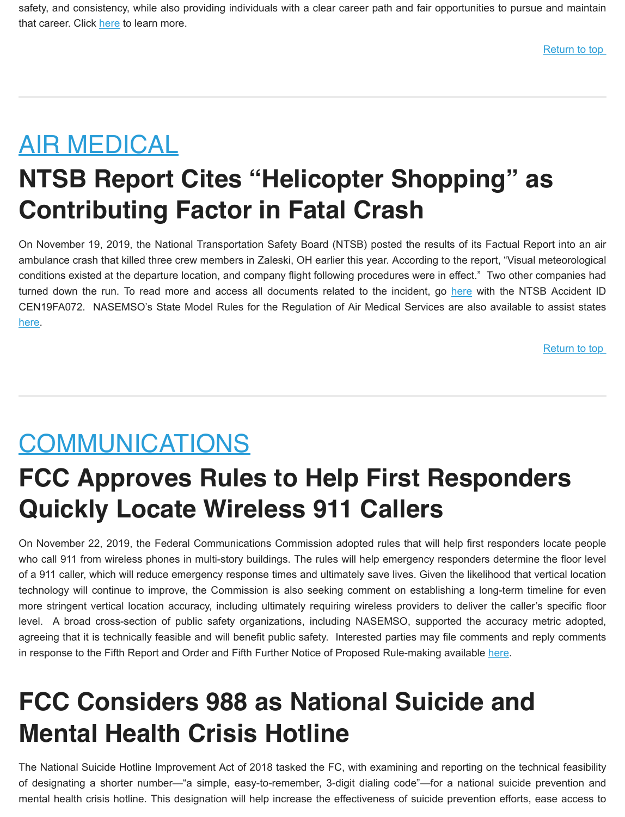safety, and consi[stenc](http://www.responsiblelicensing.org/about-us/)y, while also providing individuals with a clear career path and fair opportunities to pursue and maintain that career. Click here to learn more.

#### <span id="page-3-0"></span>AIR MEDICAL

### **NTSB Report Cites "Helicopter Shopping" as Contributing Factor in Fatal Crash**

On November 19, 2019, the National Transportation Safety Board (NTSB) posted the results of its Factual Report into an air ambulance crash that killed three crew members in Zaleski, OH earlier this year. According to the report, "Visual meteorological conditions existed at the departure location, and company flight following procedures were in [effect](https://dms.ntsb.gov/pubdmss/search/)." Two other companies had turned down the run. To read more and access all documents related to the incident, go here with the NTSB Accident ID [CEN](https://nasemso.org/wp-content/uploads/State-Model-Rules-for-the-Regulation-of-Air-Medical-Services-21Sept2016.pdf)19FA072. NASEMSO's State Model Rules for the Regulation of Air Medical Services are also available to assist states here.

[Return to top](#page-0-0) 

#### <span id="page-3-1"></span>COMMUNICATIONS

#### **FCC Approves Rules to Help First Responders Quickly Locate Wireless 911 Callers**

On November 22, 2019, the Federal Communications Commission adopted rules that will help first responders locate people who call 911 from wireless phones in multi-story buildings. The rules will help emergency responders determine the floor level of a 911 caller, which will reduce emergency response times and ultimately save lives. Given the likelihood that vertical location technology will continue to improve, the Commission is also seeking comment on establishing a long-term timeline for even more stringent vertical location accuracy, including ultimately requiring wireless providers to deliver the caller's specific floor level. A broad cross-section of public safety organizations, including NASEMSO, supported the accuracy metric adopted, agreeing that it is technically feasible and will benefit public safety. Interested parties may file comm[ents](https://www.fcc.gov/document/fcc-helps-first-responders-quickly-locate-wireless-911-callers-0) and reply comments in response to the Fifth Report and Order and Fifth Further Notice of Proposed Rule-making available here.

### **FCC Considers 988 as National Suicide and Mental Health Crisis Hotline**

The National Suicide Hotline Improvement Act of 2018 tasked the FC, with examining and reporting on the technical feasibility of designating a shorter number—"a simple, easy-to-remember, 3-digit dialing code"—for a national suicide prevention and mental health crisis hotline. This designation will help increase the effectiveness of suicide prevention efforts, ease access to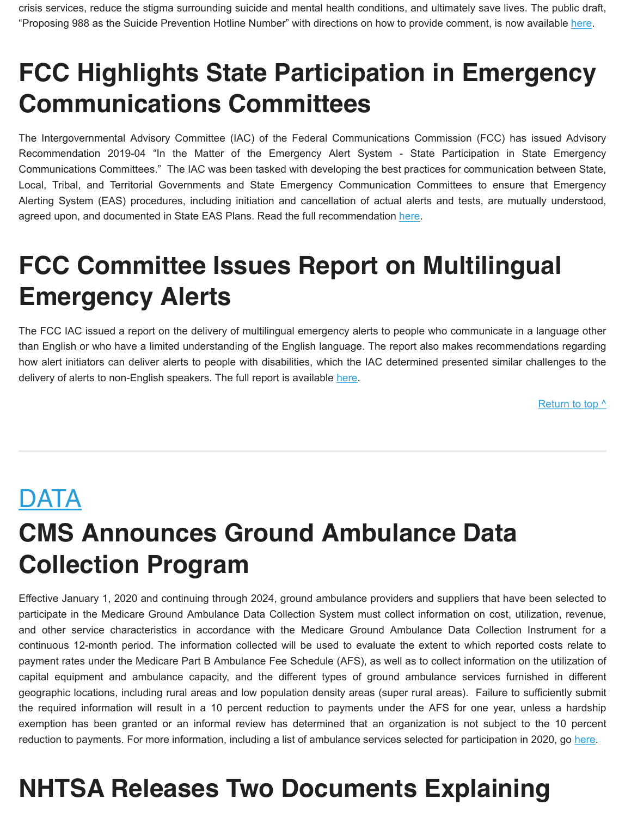crisis services, reduce the stigma surrounding suicide and mental health conditions, and ultimately save lives. The pub[lic dr](https://www.fcc.gov/document/proposing-988-suicide-prevention-hotline-number)aft, "Proposing 988 as the Suicide Prevention Hotline Number" with directions on how to provide comment, is now available here.

### **FCC Highlights State Participation in Emergency Communications Committees**

The Intergovernmental Advisory Committee (IAC) of the Federal Communications Commission (FCC) has issued Advisory Recommendation 2019-04 "In the Matter of the Emergency Alert System - State Participation in State Emergency Communications Committees." The IAC was been tasked with developing the best practices for communication between State, Local, Tribal, and Territorial Governments and State Emergency Communication Committees to ensure that Emergency Alerting System (EAS) procedures, including initiation and cancellation of actu[al ale](https://docs.fcc.gov/public/attachments/DOC-360696A2.pdf)rts and tests, are mutually understood, agreed upon, and documented in State EAS Plans. Read the full recommendation here.

# **FCC Committee Issues Report on Multilingual Emergency Alerts**

The FCC IAC issued a report on the delivery of multilingual emergency alerts to people who communicate in a language other than English or who have a limited understanding of the English language. The report also makes recommendations regarding how alert initiators can deliver alerts to people with disabilities, whi[ch the](https://docs.fcc.gov/public/attachments/DOC-360696A3.pdf) IAC determined presented similar challenges to the delivery of alerts to non-English speakers. The full report is available here.

Return to top  $\wedge$ 

#### <span id="page-4-0"></span>**DATA**

# **CMS Announces Ground Ambulance Data Collection Program**

Effective January 1, 2020 and continuing through 2024, ground ambulance providers and suppliers that have been selected to participate in the Medicare Ground Ambulance Data Collection System must collect information on cost, utilization, revenue, and other service characteristics in accordance with the Medicare Ground Ambulance Data Collection Instrument for a continuous 12-month period. The information collected will be used to evaluate the extent to which reported costs relate to payment rates under the Medicare Part B Ambulance Fee Schedule (AFS), as well as to collect information on the utilization of capital equipment and ambulance capacity, and the different types of ground ambulance services furnished in different geographic locations, including rural areas and low population density areas (super rural areas). Failure to sufficiently submit the required information will result in a 10 percent reduction to payments under the AFS for one year, unless a hardship exemption has been granted or an informal review has determined that an organization is not subject to the 10 [perce](https://www.cms.gov/Medicare/Medicare-Fee-for-Service-Payment/AmbulanceFeeSchedule/Ground-Ambulance-Services-Data-Collection-System)nt reduction to payments. For more information, including a list of ambulance services selected for participation in 2020, go here.

#### **NHTSA Releases Two Documents Explaining**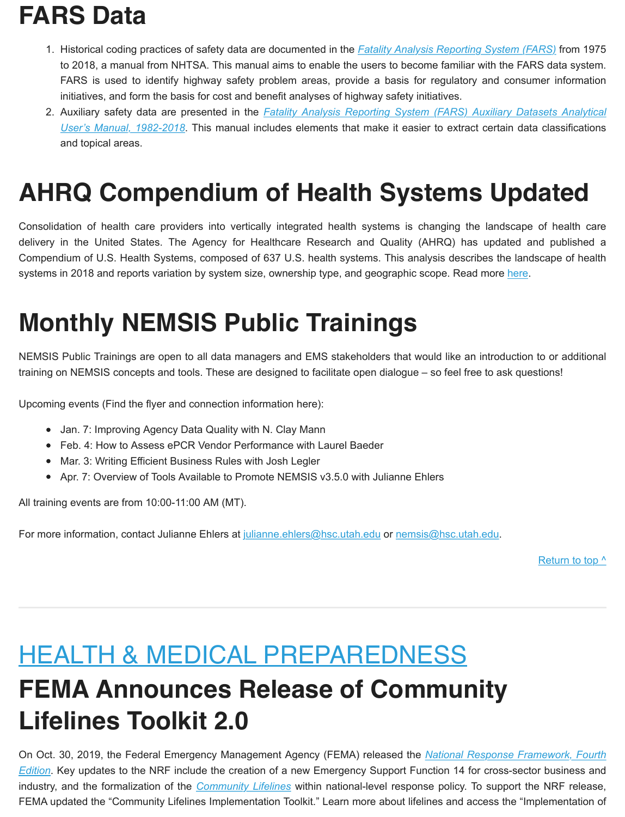# **FARS Data**

- 1. Historical coding practices of safety data are documented in the *[Fatality Analysis Reporting System \(FARS\)](https://crashstats.nhtsa.dot.gov/Api/Public/ViewPublication/812827)* from 1975 to 2018, a manual from NHTSA. This manual aims to enable the users to become familiar with the FARS data system. FARS is used to identify highway safety problem areas, provide a basis for regulatory and consumer information initiatives, and form the basis for cost and benefit analyses of highway safety initiatives.
- 2. Auxiliary safety data are presented in the *[Fatality Analysis Reporting System \(FARS\) Auxiliary Datasets Analytical](https://crashstats.nhtsa.dot.gov/Api/Public/ViewPublication/812829) User's Manual, 1982-2018*. This manual includes elements that make it easier to extract certain data classifications and topical areas.

### **AHRQ Compendium of Health Systems Updated**

Consolidation of health care providers into vertically integrated health systems is changing the landscape of health care delivery in the United States. The Agency for Healthcare Research and Quality (AHRQ) has updated and published a Compendium of U.S. Health Systems, composed of 637 U.S. health systems. This analysis describes th[e lan](https://www.ahrq.gov/chsp/data-resources/compendium.html)dscape of health systems in 2018 and reports variation by system size, ownership type, and geographic scope. Read more here.

# **Monthly NEMSIS Public Trainings**

NEMSIS Public Trainings are open to all data managers and EMS stakeholders that would like an introduction to or additional training on NEMSIS concepts and tools. These are designed to facilitate open dialogue – so feel free to ask questions!

Upcoming events (Find the flyer and connection information here):

- Jan. 7: Improving Agency Data Quality with N. Clay Mann
- Feb. 4: How to Assess ePCR Vendor Performance with Laurel Baeder
- Mar. 3: Writing Efficient Business Rules with Josh Legler
- Apr. 7: Overview of Tools Available to Promote NEMSIS v3.5.0 with Julianne Ehlers

All training events are from 10:00-11:00 AM (MT).

For more information, contact Julianne Ehlers at [julianne.ehlers@hsc.utah.edu](mailto:julianne.ehlers@hsc.utah.edu) or [nemsis@hsc.utah.edu](mailto:nemsis@hsc.utah.edu).

[Return to top ^](#page-0-0)

#### <span id="page-5-0"></span>HEALTH & MEDICAL PREPAREDNESS

#### **FEMA Announces Release of Community Lifelines Toolkit 2.0**

[On Oct. 30, 2019, the Federal Emergency Management Agency \(FEMA\) released the](https://www.fema.gov/media-library/assets/documents/117791) *National Response Framework, Fourth Edition*. Key updates to the NRF inclu[de the creation of a](https://www.fema.gov/lifelines) new Emergency Support Function 14 for cross-sector business and industry, and the formalization of the *Community Lifelines* within national-level response policy. To support the NRF release, FEMA updated the "Community Lifelines Implementation Toolkit." Learn more about lifelines and access the "Implementation of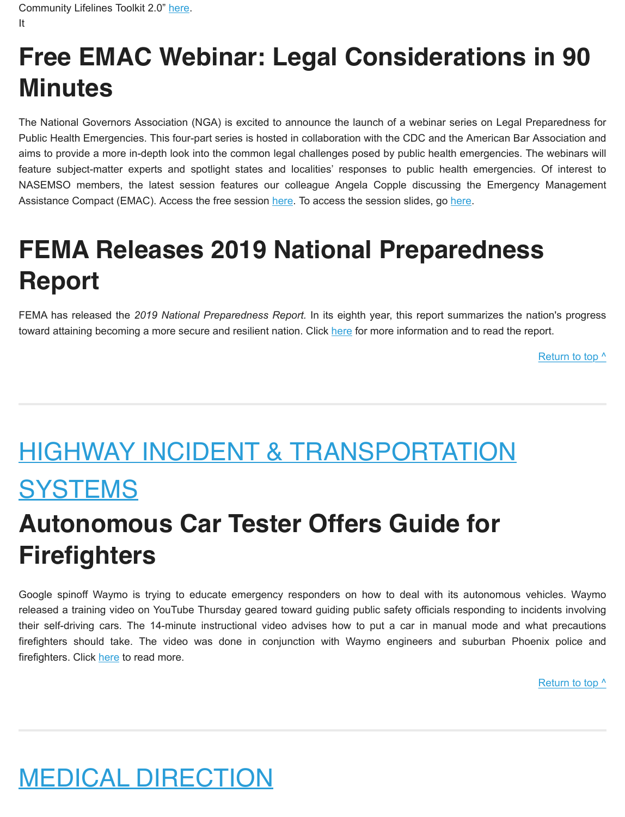# **Free EMAC Webinar: Legal Considerations in 90 Minutes**

The National Governors Association (NGA) is excited to announce the launch of a webinar series on Legal Preparedness for Public Health Emergencies. This four-part series is hosted in collaboration with the CDC and the American Bar Association and aims to provide a more in-depth look into the common legal challenges posed by public health emergencies. The webinars will feature subject-matter experts and spotlight states and localities' responses to public health emergencies. Of interest to NASEMSO members, the latest session features o[ur co](https://www.nga.org/webinars/hsps-webinars/emergency-management-assistance-compact/)lleague Angela Copple discussi[ng th](https://www.nga.org/wp-content/uploads/2019/10/20191017_CDC-NGA_Webinar-2-Slides.pdf)e Emergency Management Assistance Compact (EMAC). Access the free session here. To access the session slides, go here.

# **FEMA Releases 2019 National Preparedness Report**

FEMA has released the *2019 National Preparedness Report.* In it[s eigh](https://www.fema.gov/national-preparedness-report)th year, this report summarizes the nation's progress toward attaining becoming a more secure and resilient nation. Click here for more information and to read the report.

Return to top  $\wedge$ 

# <span id="page-6-0"></span>HIGHWAY INCIDENT & TRANSPORTATION **SYSTEMS**

### **Autonomous Car Tester Offers Guide for Firefighters**

Google spinoff Waymo is trying to educate emergency responders on how to deal with its autonomous vehicles. Waymo released a training video on YouTube Thursday geared toward guiding public safety officials responding to incidents involving their self-driving cars. The 14-minute instructional video advises how to put a car in manual mode and what precautions firefighters shoul[d tak](https://www.fireengineering.com/2019/11/23/481423/autonomous-car-tester-offers-guide-for-first-responders/#gref)e. The video was done in conjunction with Waymo engineers and suburban Phoenix police and firefighters. Click here to read more.

[Return to top ^](#page-0-0)

# <span id="page-6-1"></span>MEDICAL DIRECTION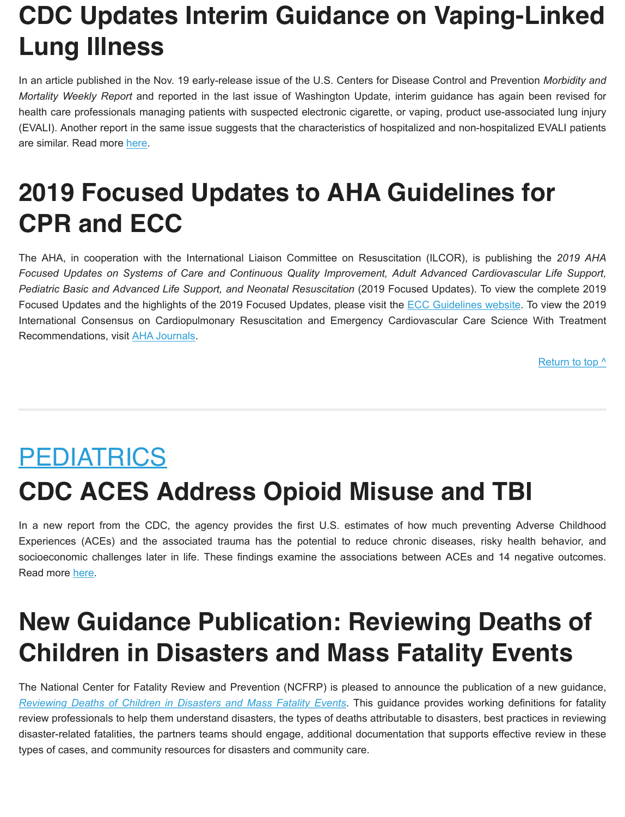# **CDC Updates Interim Guidance on Vaping-Linked Lung Illness**

In an article published in the Nov. 19 early-release issue of the U.S. Centers for Disease Control and Prevention *Morbidity and Mortality Weekly Report* and reported in the last issue of Washington Update, interim guidance has again been revised for health care professionals managing patients with suspected electronic cigarette, or vaping, product use-associated lung injury (EVALI). Another repor[t in th](https://www.cdc.gov/mmwr/volumes/68/wr/mm6846e2.htm?s_cid=mm6846e2_w)e same issue suggests that the characteristics of hospitalized and non-hospitalized EVALI patients are similar. Read more here.

### **2019 Focused Updates to AHA Guidelines for CPR and ECC**

The AHA, in cooperation with the International Liaison Committee on Resuscitation (ILCOR), is publishing the *2019 AHA Focused Updates on Systems of Care and Continuous Quality Improvement, Adult Advanced Cardiovascular Life Support, Pediatric Basic and Advanced Life Support, and Neonatal Resuscitation* (2019 Foc[used Updates\). To view t](https://eccguidelines.heart.org/circulation/cpr-ecc-guidelines/)he complete 2019 Focused Updates and the highlights of the 2019 Focused Updates, please visit the ECC Guidelines website. To view the 2019 International Consensu[s on Cardiopu](https://www.ahajournals.org/doi/10.1161/CIR.0000000000000734)lmonary Resuscitation and Emergency Cardiovascular Care Science With Treatment Recommendations, visit AHA Journals.

[Return to top ^](#page-0-0)

# <span id="page-7-0"></span>PEDIATRICS **CDC ACES Address Opioid Misuse and TBI**

In a new report from the CDC, the agency provides the first U.S. estimates of how much preventing Adverse Childhood Experiences (ACEs) and the associated trauma has the potential to reduce chronic diseases, risky health behavior, and socioecono[mic c](https://www.cdc.gov/vitalsigns/ACEs/)hallenges later in life. These findings examine the associations between ACEs and 14 negative outcomes. Read more here.

### **New Guidance Publication: Reviewing Deaths of Children in Disasters and Mass Fatality Events**

[The National Center for Fatality Review and Prevention \(NCFRP\) is p](https://www.ncfrp.org/wp-content/uploads/NCRPCD-Docs/Guidance_Deaths_of_Children_in_Disasters.pdf)leased to announce the publication of a new guidance, *Reviewing Deaths of Children in Disasters and Mass Fatality Events*. This guidance provides working definitions for fatality review professionals to help them understand disasters, the types of deaths attributable to disasters, best practices in reviewing disaster-related fatalities, the partners teams should engage, additional documentation that supports effective review in these types of cases, and community resources for disasters and community care.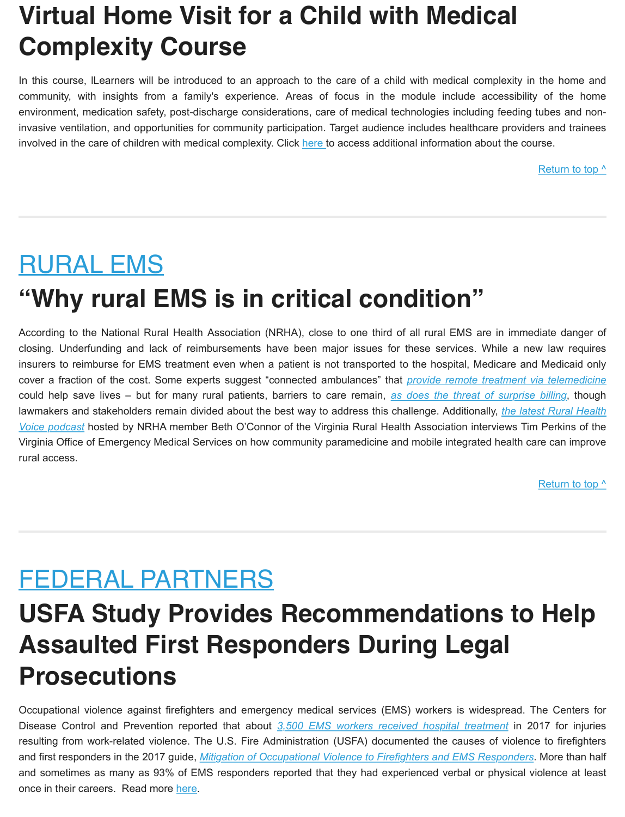### **Virtual Home Visit for a Child with Medical Complexity Course**

In this course, lLearners will be introduced to an approach to the care of a child with medical complexity in the home and community, with insights from a family's experience. Areas of focus in the module include accessibility of the home environment, medication safety, post-discharge considerations, care of medical technologies including feeding tubes and noninvasive ventilation, and opportunities for community particip[ation.](https://www.openpediatrics.org/course/virtual-home-visit-child-medical-complexity) Target audience includes healthcare providers and trainees involved in the care of children with medical complexity. Click here to access additional information about the course.

Return to top  $\wedge$ 

# <span id="page-8-0"></span>RURAL EMS **"Why rural EMS is in critical condition"**

According to the National Rural Health Association (NRHA), close to one third of all rural EMS are in immediate danger of closing. Underfunding and lack of reimbursements have been major issues for these services. While a new law requires insurers to reimburse for EMS treatment even when a patient is not transported t[o the hospital, Medicare and Medicaid only](https://www.forbes.com/sites/nicholasfearn/2019/11/18/how-connected-ambulances-could-revolutionise-patient-treatment-and-reduce-hospital-numbers/#7adb8b5f498d) cover a fraction of the cost. Some experts suggest "connected ambulances" that *[provide remote treatment via telem](https://www.beckershospitalreview.com/finance/experts-talk-surprise-billing-4-key-takeaways.html)edicine* could help save lives – but for many rural patients, barriers to care remain, *as does the threat of surprise billing*, though [lawmakers and stakeholders remain divided about the best way to address this challenge. Additionally,](https://blubrry.com/rural_health_voice/51985201/rhv-27-mobile-integrated-health?sbe=1) *the latest Rural Health Voice podcast* hosted by NRHA member Beth O'Connor of the Virginia Rural Health Association interviews Tim Perkins of the Virginia Office of Emergency Medical Services on how community paramedicine and mobile integrated health care can improve rural access.

[Return to top ^](#page-0-0)

#### <span id="page-8-1"></span>FEDERAL PARTNERS

### **USFA Study Provides Recommendations to Help Assaulted First Responders During Legal Prosecutions**

Occupational violence against firefighters and emerge[ncy medical services \(EMS\) workers is widespre](https://www.cdc.gov/niosh/topics/ems/data.html)ad. The Centers for Disease Control and Prevention reported that about *3,500 EMS workers received hospital treatment* in 2017 for injuries resulting from work-related violence. [The U.S. Fire Administration \(USFA\) documented the causes of violenc](https://www.usfa.fema.gov/downloads/pdf/publications/mitigation_of_occupational_violence.pdf)e to firefighters and first responders in the 2017 guide, *Mitigation of Occupational Violence to Firefighters and EMS Responders*. More than half and sometimes as many as 93% [of E](https://www.usfa.fema.gov/current_events/111419.html)MS responders reported that they had experienced verbal or physical violence at least once in their careers. Read more here.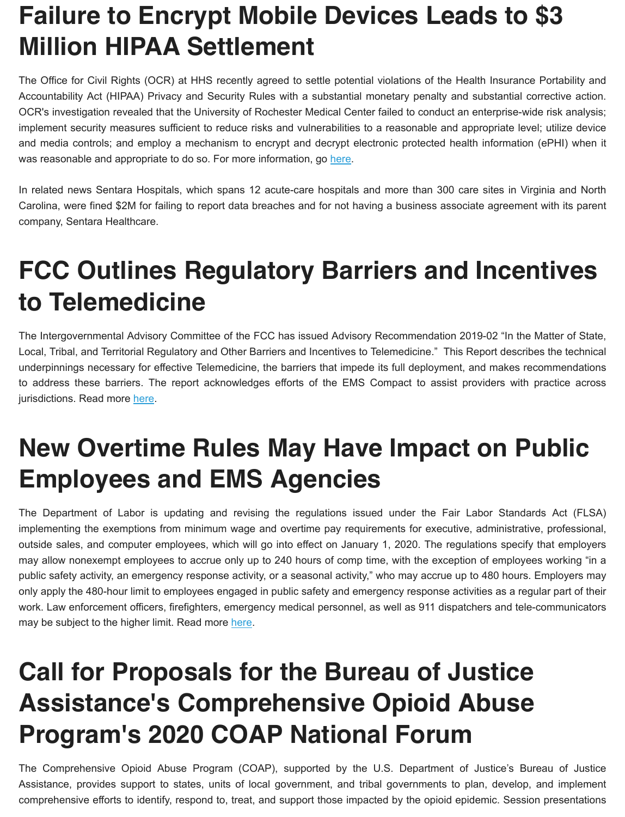### **Failure to Encrypt Mobile Devices Leads to \$3 Million HIPAA Settlement**

The Office for Civil Rights (OCR) at HHS recently agreed to settle potential violations of the Health Insurance Portability and Accountability Act (HIPAA) Privacy and Security Rules with a substantial monetary penalty and substantial corrective action. OCR's investigation revealed that the University of Rochester Medical Center failed to conduct an enterprise-wide risk analysis; implement security measures sufficient to reduce risks and vulnerabilities to a reasonable and appropriate level; utilize device and media controls; and employ a mechanism to encrypt and de[crypt](https://www.hhs.gov/sites/default/files/urmc-ra-cap-508.pdf) electronic protected health information (ePHI) when it was reasonable and appropriate to do so. For more information, go here.

In related news Sentara Hospitals, which spans 12 acute-care hospitals and more than 300 care sites in Virginia and North Carolina, were fined \$2M for failing to report data breaches and for not having a business associate agreement with its parent company, Sentara Healthcare.

#### **FCC Outlines Regulatory Barriers and Incentives to Telemedicine**

The Intergovernmental Advisory Committee of the FCC has issued Advisory Recommendation 2019-02 "In the Matter of State, Local, Tribal, and Territorial Regulatory and Other Barriers and Incentives to Telemedicine." This Report describes the technical underpinnings necessary for effective Telemedicine, the barriers that impede its full deployment, and makes recommendations to address these barrie[rs. T](https://docs.fcc.gov/public/attachments/DOC-360696A5.pdf)he report acknowledges efforts of the EMS Compact to assist providers with practice across jurisdictions. Read more here.

#### **New Overtime Rules May Have Impact on Public Employees and EMS Agencies**

The Department of Labor is updating and revising the regulations issued under the Fair Labor Standards Act (FLSA) implementing the exemptions from minimum wage and overtime pay requirements for executive, administrative, professional, outside sales, and computer employees, which will go into effect on January 1, 2020. The regulations specify that employers may allow nonexempt employees to accrue only up to 240 hours of comp time, with the exception of employees working "in a public safety activity, an emergency response activity, or a seasonal activity," who may accrue up to 480 hours. Employers may only apply the 480-hour limit to employees engaged in public safety and emergency response activities as a regular part of their work. Law enforcement officers, firefighters, e[merg](https://www.govinfo.gov/content/pkg/FR-2019-09-27/pdf/2019-20353.pdf)ency medical personnel, as well as 911 dispatchers and tele-communicators may be subject to the higher limit. Read more here.

## **Call for Proposals for the Bureau of Justice Assistance's Comprehensive Opioid Abuse Program's 2020 COAP National Forum**

The Comprehensive Opioid Abuse Program (COAP), supported by the U.S. Department of Justice's Bureau of Justice Assistance, provides support to states, units of local government, and tribal governments to plan, develop, and implement comprehensive efforts to identify, respond to, treat, and support those impacted by the opioid epidemic. Session presentations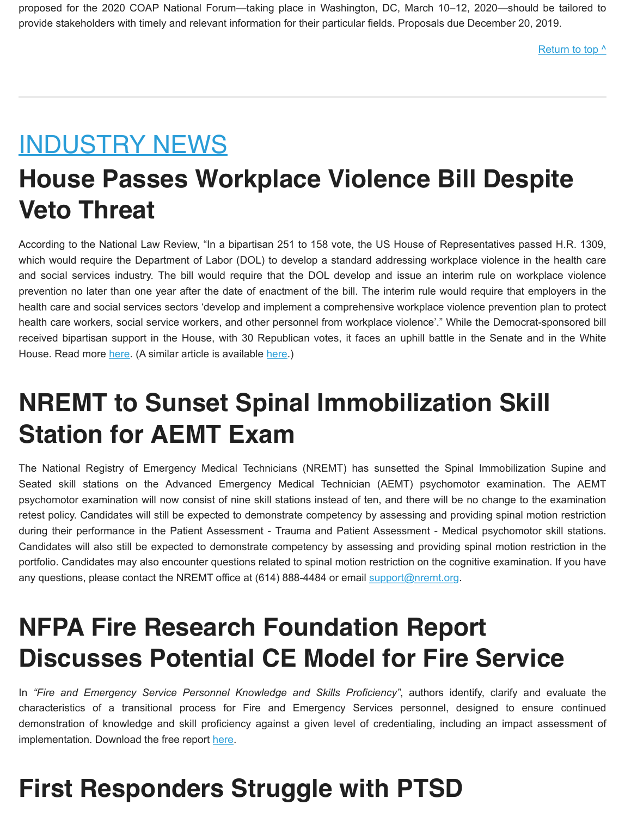proposed for the 2020 COAP National Forum—taking place in Washington, DC, March 10–12, 2020—should be tailored to provide stakeholders with timely and relevant information for their particular fields. Proposals due December 20, 2019.

[Return to top ^](#page-0-0)

#### <span id="page-10-0"></span>INDUSTRY NEWS

### **House Passes Workplace Violence Bill Despite Veto Threat**

According to the National Law Review, "In a bipartisan 251 to 158 vote, the US House of Representatives passed H.R. 1309, which would require the Department of Labor (DOL) to develop a standard addressing workplace violence in the health care and social services industry. The bill would require that the DOL develop and issue an interim rule on workplace violence prevention no later than one year after the date of enactment of the bill. The interim rule would require that employers in the health care and social services sectors 'develop and implement a comprehensive workplace violence prevention plan to protect health care workers, social service workers, and other personnel from workplace violence'." While the Democrat-sponsored bill received bipartisan [supp](https://www.natlawreview.com/article/house-passes-workplace-violence-bill-despite-veto-threat)ort in the House, with 30 R[epub](https://www.newsweek.com/hr1309-legislation-workplace-violence-prevention-health-care-workers-1473697)lican votes, it faces an uphill battle in the Senate and in the White House. Read more here. (A similar article is available here.)

### **NREMT to Sunset Spinal Immobilization Skill Station for AEMT Exam**

The National Registry of Emergency Medical Technicians (NREMT) has sunsetted the Spinal Immobilization Supine and Seated skill stations on the Advanced Emergency Medical Technician (AEMT) psychomotor examination. The AEMT psychomotor examination will now consist of nine skill stations instead of ten, and there will be no change to the examination retest policy. Candidates will still be expected to demonstrate competency by assessing and providing spinal motion restriction during their performance in the Patient Assessment - Trauma and Patient Assessment - Medical psychomotor skill stations. Candidates will also still be expected to demonstrate competency by assessing and providing spinal motion restriction in the portfolio. Candidates may also encounter questions related to spinal motion [restriction on the co](mailto:support@nremt.org)gnitive examination. If you have any questions, please contact the NREMT office at (614) 888-4484 or email support@nremt.org.

#### **NFPA Fire Research Foundation Report Discusses Potential CE Model for Fire Service**

In *"Fire and Emergency Service Personnel Knowledge and Skills Proficiency"*, authors identify, clarify and evaluate the characteristics of a transitional process for Fire and Emergency Services personnel, designed to ensure continued demonstration of knowledge and skill pr[oficie](https://www.nfpa.org/News-and-Research/Data-research-and-tools/Emergency-Responders)ncy against a given level of credentialing, including an impact assessment of implementation. Download the free report here.

# **First Responders Struggle with PTSD**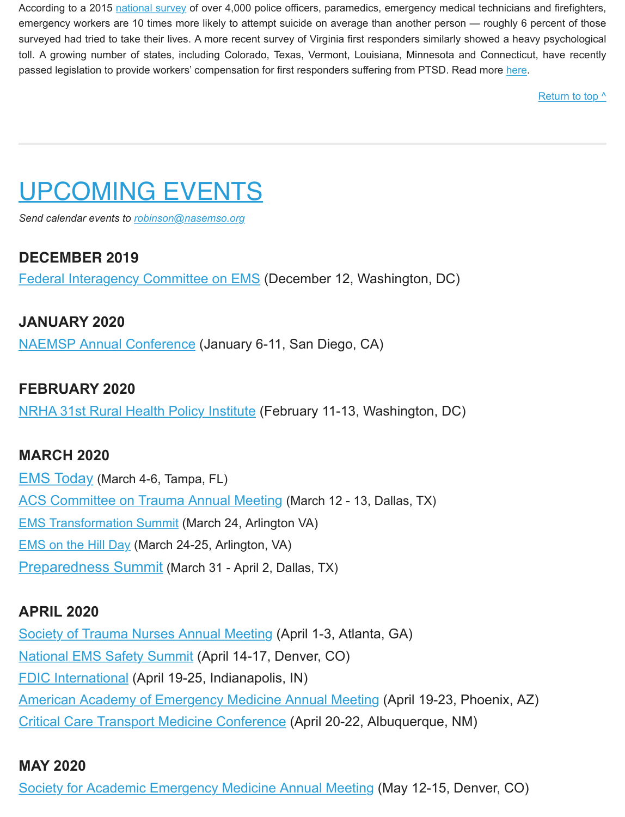According to a 2015 [national survey](https://www.jems.com/2015/09/28/survey-reveals-alarming-rates-of-ems-provider-stress-and-thoughts-of-suicide/) of over 4,000 police officers, paramedics, emergency medical technicians and firefighters, emergency workers are 10 times more likely to attempt suicide on average than another person — roughly 6 percent of those surveyed had tried to take their lives. A more recent survey of Virginia first responders similarly showed a heavy psychological toll. A growing number of states, including Colorado, Texas, Vermont, Louisiana, Minnesota and Conn[ecticu](https://www.washingtonpost.com/health/first-responders-struggle-with-ptsd-caused-by-the-emergencies-deaths-tragedies-they-face-every-day/2019/10/25/9c4c9a0e-d4b8-11e9-9610-fb56c5522e1c_story.html)t, have recently passed legislation to provide workers' compensation for first responders suffering from PTSD. Read more here.

[Return to top ^](#page-0-0)

# <span id="page-11-0"></span>UPCOMING EVENTS

*Send calendar events to [robinson@nasemso.org](mailto:robinson@nasemso.org?subject=Calendar%20Event%20for%20Washington%20Update)*

#### **DECEMBER 2019**

[Federal Interagency Committee on EMS](https://www.ems.gov/ficems-meetings.html) (December 12, Washington, DC)

#### **JANUARY 2020**

[NAEMSP Annual Conference](https://naemsp.org/events/annual-meetings/) (January 6-11, San Diego, CA)

#### **FEBRUARY 2020**

[NRHA 31st Rural Health Policy Institute](https://www.ruralhealthweb.org/events/event-details?eventId=17&utm_source=NRHA%20Today&utm_medium=tie%20in&utm_campaign=PI) (February 11-13, Washington, DC)

#### **MARCH 2020**

[EMS Today](https://www.emstoday.com/) (March 4-6, Tampa, FL) [ACS Committee on Trauma Annual Meeting](https://www.facs.org/quality-programs/trauma) (March 12 - 13, Dallas, TX) [EMS Transformation Summit](https://naemt.org/events/ems-transformation-summit) (March 24, Arlington VA) [EMS on the Hill Day](https://naemt.org/events/ems-on-the-hill-day) (March 24-25, Arlington, VA) [Preparedness Summit](https://mailchi.mp/6443892a6299/URL) (March 31 - April 2, Dallas, TX)

#### **APRIL 2020**

[Society of Trauma Nurses Annual Meeting](https://www.traumanurses.org/education/traumacon-2020) (April 1-3, Atlanta, GA) [National EMS Safety Summit](http://nationalemssafetysummit.org/) (April 14-17, Denver, CO) [FDIC International](http://www.fdic.com/index.html) (April 19-25, Indianapolis, IN) [American Academy of Emergency Medicine Annual Meeting](http://www.aaem.org/) (April 19-23, Phoenix, AZ) [Critical Care Transport Medicine Conference](https://cctmc.net/) (April 20-22, Albuquerque, NM)

#### **MAY 2020**

[Society for Academic Emergency Medicine Annual Meeting](https://saem.org/annual-meeting/saem20) (May 12-15, Denver, CO)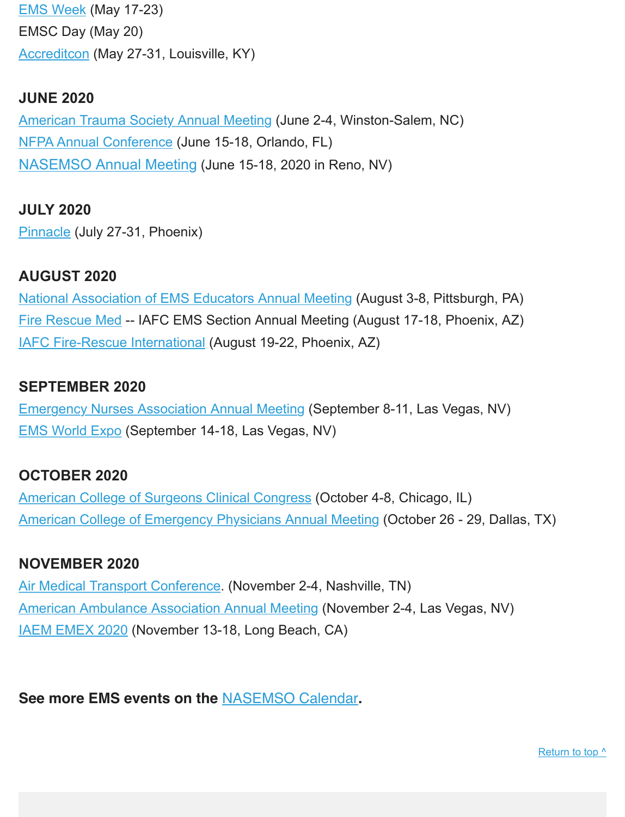[EMS Week](https://www.acep.org/administration/ems-resources/emsweek/) (May 17-23) EMSC Day (May 20) [Accreditcon](https://www.accreditcon.org/) (May 27-31, Louisville, KY)

#### **JUNE 2020**

[American Trauma Society Annual Meeting](http://www.amtrauma.org/) (June 2-4, Winston-Salem, NC) [NFPA Annual Conference](https://www.nfpa.org/conference/index.html) (June 15-18, Orlando, FL) [NASEMSO Annual Meeting](https://nasemso.org/wp-content/uploads/Schedule-at-A-Glance-NASEMSO-Annual-Meeting-2020.pdf) (June 15-18, 2020 in Reno, NV)

#### **JULY 2020**

[Pinnacle](http://pinnacle-ems.com/) (July 27-31, Phoenix)

#### **AUGUST 2020**

[National Association of EMS Educators Annual Meeting](http://www.naemse.org/) (August 3-8, Pittsburgh, PA) [Fire Rescue Med](https://www.iafc.org/events/frm) -- IAFC EMS Section Annual Meeting (August 17-18, Phoenix, AZ) [IAFC Fire-Rescue International](http://www.iafc.org/fri) (August 19-22, Phoenix, AZ)

#### **SEPTEMBER 2020**

[Emergency Nurses Association Annual Meeting](http://www.ena.org/) (September 8-11, Las Vegas, NV) [EMS World Expo](http://www.emsworldexpo.com/) (September 14-18, Las Vegas, NV)

#### **OCTOBER 2020**

[American College of Surgeons Clinical Congress](https://www.facs.org/clincon2020) (October 4-8, Chicago, IL) [American College of Emergency Physicians Annual Meeting](http://www.acep.org/) (October 26 - 29, Dallas, TX)

#### **NOVEMBER 2020**

[Air Medical Transport Conference.](http://aams.org/education-meetings/) (November 2-4, Nashville, TN) [American Ambulance Association Annual Meeting](https://annual.ambulance.org/) (November 2-4, Las Vegas, NV) [IAEM EMEX 2020](http://www.iaem.com/) (November 13-18, Long Beach, CA)

**See more EMS events on the** [NASEMSO Calendar](https://nasemso.org/news-events/events/)**.**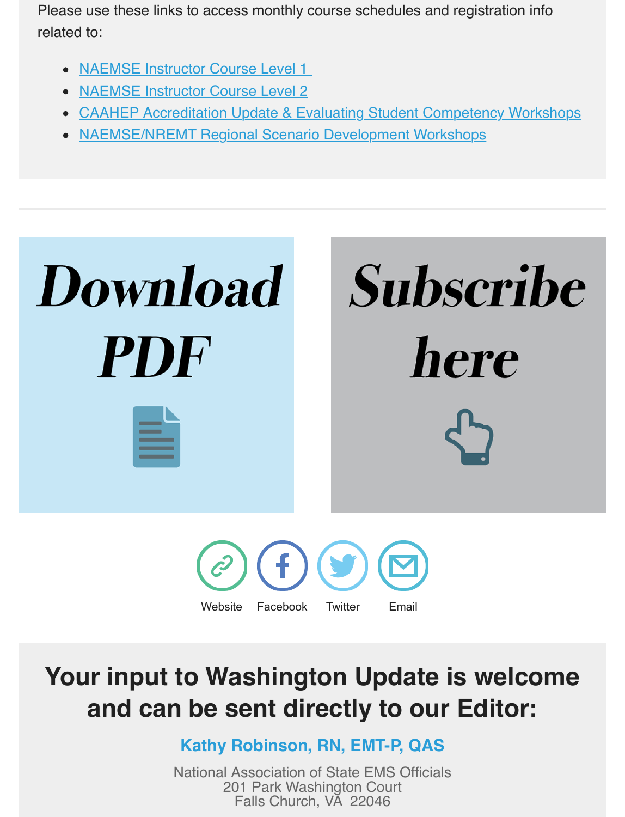Please use these links to access monthly course schedules and registration info related to:

- NAEMSE Instructor Course Level 1
- [NAEMSE Instructor Course Level 2](http://naemse.org/?page=LVL2InstructorCourse)
- [CAAHEP Accreditation Update & Evaluating Student Competency Workshops](http://naemse.org/?page=coaemsp)
- [NAEMSE/NREMT Regional Scenario Development Workshops](http://naemse.org/?page=nremt)



# **Your input to Washington Update is welcome and can be sent directly to our Editor:**

**Kathy Robinson, RN, EMT-P, QAS**

National Association of State EMS Officials 201 Park Washington Court Falls Church, VA 22046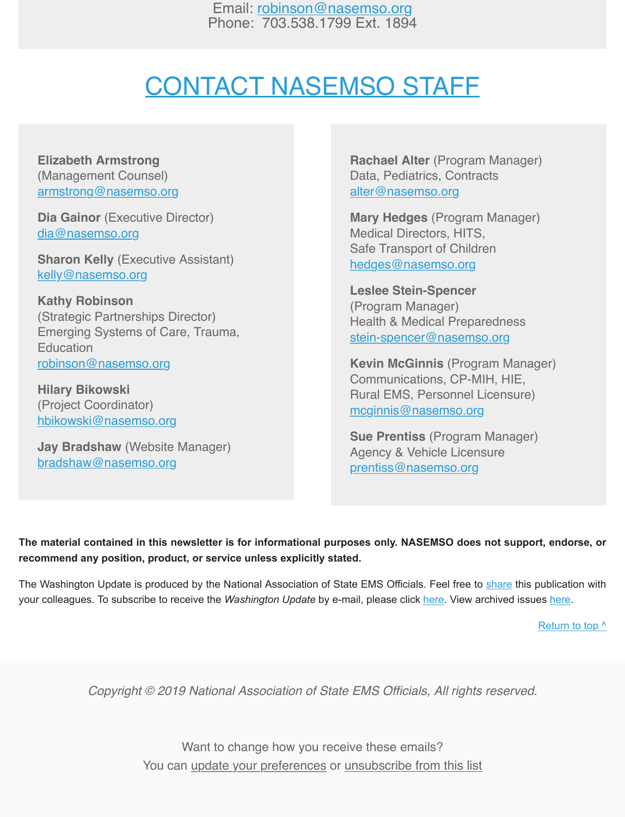Email: [robinson@nasemso.org](mailto:robinson@nasemso.org) Phone: 703.538.1799 Ext. 1894

#### <span id="page-14-0"></span>CONTACT NASEMSO STAFF

**Elizabeth Armstrong** [\(Management Counsel\)](mailto:armstrong@nasemso.org) armstrong@nasemso.org

**Dia Gainor** (Executive Director) [dia@nasemso.org](mailto:dia@nasemso.org)

**[Sharon Kelly](mailto:kelly@nasemso.org)** (Executive Assistant) kelly@nasemso.org

**Kathy Robinson** (Strategic Partnerships Director) Emerging Systems of Care, Trauma, **Education** [robinson@nasemso.org](mailto:robinson@nasemso.org)

**Hilary Bikowski** [\(](mailto:hbikowski@nasemso.org)[Project Coordinator\)](mailto:bikowski@nasemso.org) hbikowski@nasemso.org

**Jay Bradshaw** (Website Manager) [bradshaw@nasemso.org](mailto:bradshaw@nasemso.org)

**Rachael Alter** (Program Manager) [Data, Pediatrics, Co](mailto:alter@nasemso.org)ntracts alter@nasemso.org

**Mary Hedges** (Program Manager) Medical Directors, HITS, [Safe Transport of Child](mailto:hedges@nasemso.org)ren hedges@nasemso.org

**Leslee Stein-Spencer** (Program Manager) [Health & Medical Preparedne](mailto:stein-spencer@nasemso.org)ss stein-spencer@nasemso.org

**Kevin McGinnis** (Program Manager) Communications, CP-MIH, HIE, [Rural EMS, Personnel Li](http://mcginnis@nasemso.org/)censure) mcginnis@nasemso.org

**Sue Prentiss** (Program Manager) [Agency & Vehicle Licen](mailto:prentiss@nasemso.org)sure prentiss@nasemso.org

**The material contained in this newsletter is for informational purposes only. NASEMSO does not support, endorse, or recommend any position, product, or service unless explicitly stated.** 

The Washington Update is produced by the National Association of State EMS Official[s. Fee](http://eepurl.com/cb1_dP)l free to [share](http://us13.forward-to-friend.com/forward?u=bdaf9a0cf267d423437d7b149&id=03119953a6&e=%5BUNIQID%5D) this pu[blicati](https://nasemso.org/news-events/washington-update/)on with your colleagues. To subscribe to receive the *Washington Update* by e-mail, please click here. View archived issues here.

[Return to top ^](#page-0-0)

*Copyright © 2019 National Association of State EMS Officials, All rights reserved.*

Want to change how you receive these emails? You can [update your preferences](https://nasemso.us13.list-manage.com/profile?u=bdaf9a0cf267d423437d7b149&id=1723a637d6&e=%5BUNIQID%5D) or [unsubscribe from this list](https://nasemso.us13.list-manage.com/unsubscribe?u=bdaf9a0cf267d423437d7b149&id=1723a637d6&e=%5BUNIQID%5D&c=03119953a6)